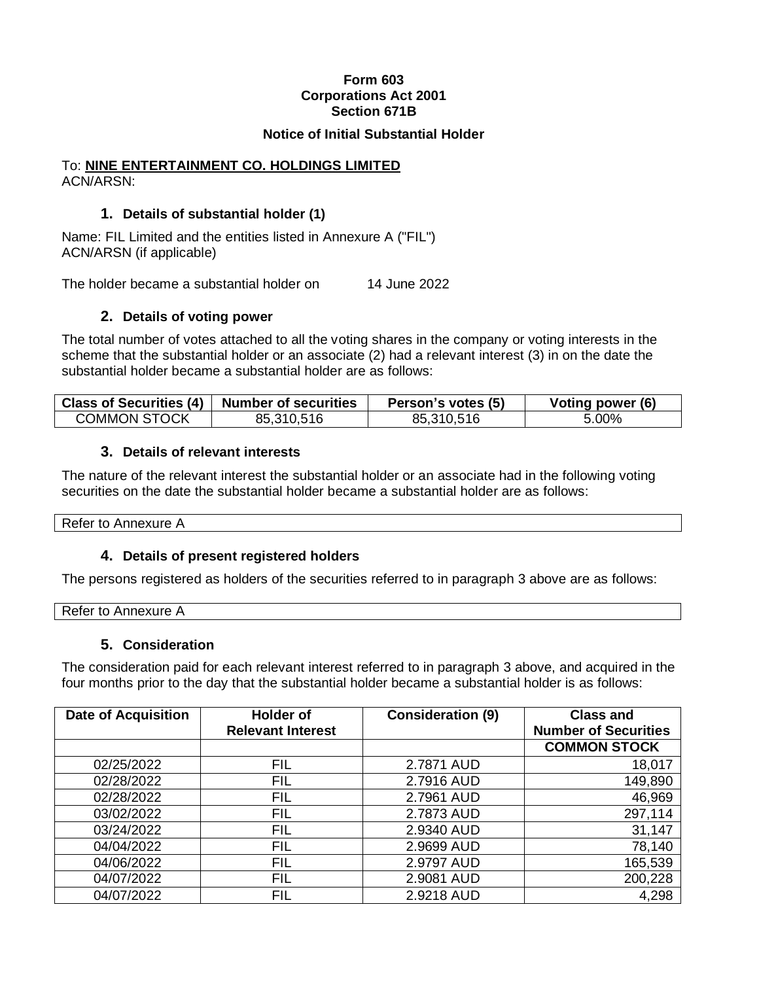# **Form 603 Corporations Act 2001 Section 671B**

#### **Notice of Initial Substantial Holder**

#### To: **NINE ENTERTAINMENT CO. HOLDINGS LIMITED** ACN/ARSN:

# **1. Details of substantial holder (1)**

Name: FIL Limited and the entities listed in Annexure A ("FIL") ACN/ARSN (if applicable)

The holder became a substantial holder on 14 June 2022

# **2. Details of voting power**

The total number of votes attached to all the voting shares in the company or voting interests in the scheme that the substantial holder or an associate (2) had a relevant interest (3) in on the date the substantial holder became a substantial holder are as follows:

| <b>Class of Securities (4)</b> $\vert$ | Number of securities | Person's votes (5) | Voting power (6) |
|----------------------------------------|----------------------|--------------------|------------------|
| <b>COMMON STOCK</b>                    | 85,310,516           | 85,310,516         | 5.00%            |

# **3. Details of relevant interests**

The nature of the relevant interest the substantial holder or an associate had in the following voting securities on the date the substantial holder became a substantial holder are as follows:

Refer to Annexure A

# **4. Details of present registered holders**

The persons registered as holders of the securities referred to in paragraph 3 above are as follows:

| $\overline{\phantom{a}}$<br>πс<br>66 69 K<br>$-$<br>.<br>$\cdot$ . $\cdot$<br>. |  |
|---------------------------------------------------------------------------------|--|
|                                                                                 |  |

# **5. Consideration**

The consideration paid for each relevant interest referred to in paragraph 3 above, and acquired in the four months prior to the day that the substantial holder became a substantial holder is as follows:

| <b>Date of Acquisition</b> | <b>Holder of</b><br><b>Relevant Interest</b> | <b>Consideration (9)</b> | <b>Class and</b><br><b>Number of Securities</b> |
|----------------------------|----------------------------------------------|--------------------------|-------------------------------------------------|
|                            |                                              |                          | <b>COMMON STOCK</b>                             |
| 02/25/2022                 | FIL                                          | 2.7871 AUD               | 18,017                                          |
| 02/28/2022                 | <b>FIL</b>                                   | 2.7916 AUD               | 149,890                                         |
| 02/28/2022                 | <b>FIL</b>                                   | 2.7961 AUD               | 46,969                                          |
| 03/02/2022                 | FIL                                          | 2.7873 AUD               | 297,114                                         |
| 03/24/2022                 | FIL                                          | 2.9340 AUD               | 31,147                                          |
| 04/04/2022                 | <b>FIL</b>                                   | 2.9699 AUD               | 78,140                                          |
| 04/06/2022                 | <b>FIL</b>                                   | 2.9797 AUD               | 165,539                                         |
| 04/07/2022                 | <b>FIL</b>                                   | 2.9081 AUD               | 200,228                                         |
| 04/07/2022                 | <b>FIL</b>                                   | 2.9218 AUD               | 4,298                                           |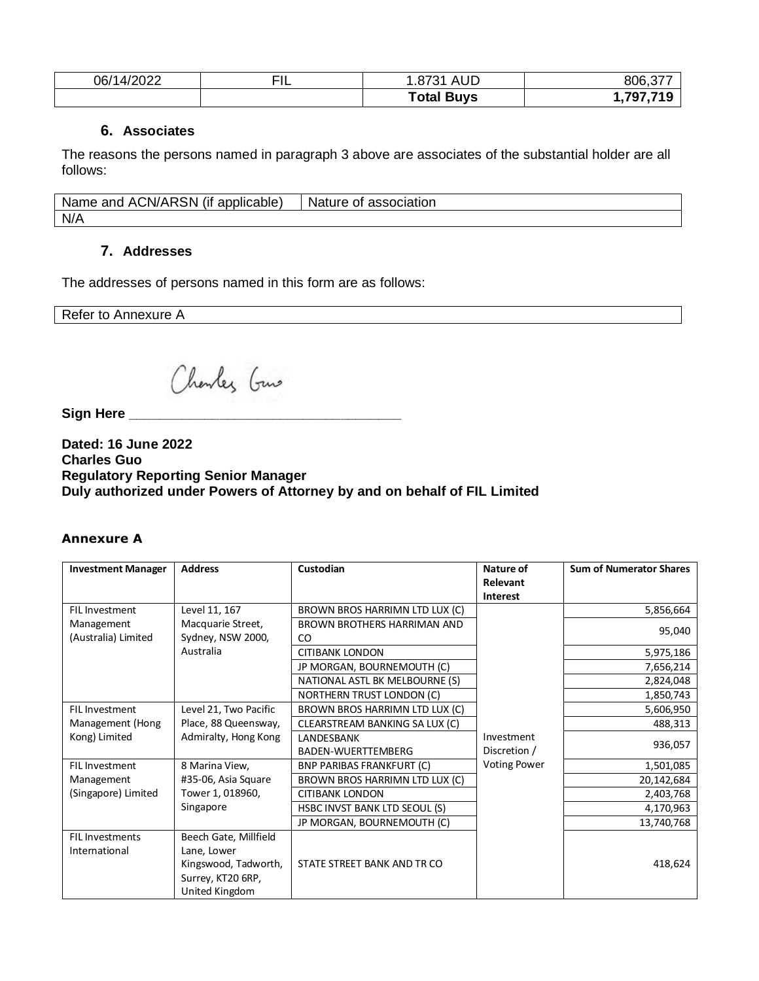| 06/14/2022 | $-$<br>. . | <b>AUD</b><br>.8731 | 806.37            |
|------------|------------|---------------------|-------------------|
|            |            | <b>Total Buys</b>   | 797,71۲. <b>.</b> |

#### **6. Associates**

The reasons the persons named in paragraph 3 above are associates of the substantial holder are all follows:

| Name and ACN/ARSN (if applicable) | Nature of association |
|-----------------------------------|-----------------------|
| N/A                               |                       |

# **7. Addresses**

The addresses of persons named in this form are as follows:

Refer to Annexure A

Charles Gus

**Sign Here \_\_\_\_\_\_\_\_\_\_\_\_\_\_\_\_\_\_\_\_\_\_\_\_\_\_\_\_\_\_\_\_\_\_\_\_**

**Dated: 16 June 2022 Charles Guo Regulatory Reporting Senior Manager Duly authorized under Powers of Attorney by and on behalf of FIL Limited**

#### **Annexure A**

| <b>Investment Manager</b> | <b>Address</b>        | Custodian                          | Nature of           | <b>Sum of Numerator Shares</b> |
|---------------------------|-----------------------|------------------------------------|---------------------|--------------------------------|
|                           |                       |                                    | Relevant            |                                |
|                           |                       |                                    | <b>Interest</b>     |                                |
| <b>FIL Investment</b>     | Level 11, 167         | BROWN BROS HARRIMN LTD LUX (C)     |                     | 5,856,664                      |
| Management                | Macquarie Street,     | <b>BROWN BROTHERS HARRIMAN AND</b> |                     | 95,040                         |
| (Australia) Limited       | Sydney, NSW 2000,     | CO                                 |                     |                                |
|                           | Australia             | <b>CITIBANK LONDON</b>             |                     | 5,975,186                      |
|                           |                       | JP MORGAN, BOURNEMOUTH (C)         |                     | 7,656,214                      |
|                           |                       | NATIONAL ASTL BK MELBOURNE (S)     |                     | 2,824,048                      |
|                           |                       | NORTHERN TRUST LONDON (C)          |                     | 1,850,743                      |
| FIL Investment            | Level 21, Two Pacific | BROWN BROS HARRIMN LTD LUX (C)     |                     | 5,606,950                      |
| Management (Hong          | Place, 88 Queensway,  | CLEARSTREAM BANKING SA LUX (C)     |                     | 488,313                        |
| Kong) Limited             | Admiralty, Hong Kong  | LANDESBANK                         | Investment          |                                |
|                           |                       | BADEN-WUERTTEMBERG                 | Discretion /        | 936,057                        |
| FIL Investment            | 8 Marina View,        | <b>BNP PARIBAS FRANKFURT (C)</b>   | <b>Voting Power</b> | 1,501,085                      |
| Management                | #35-06, Asia Square   | BROWN BROS HARRIMN LTD LUX (C)     |                     | 20,142,684                     |
| (Singapore) Limited       | Tower 1, 018960,      | <b>CITIBANK LONDON</b>             |                     | 2,403,768                      |
|                           | Singapore             | HSBC INVST BANK LTD SEOUL (S)      |                     | 4,170,963                      |
|                           |                       | JP MORGAN, BOURNEMOUTH (C)         |                     | 13,740,768                     |
| FIL Investments           | Beech Gate, Millfield |                                    |                     |                                |
| International             | Lane, Lower           |                                    |                     |                                |
|                           | Kingswood, Tadworth,  | STATE STREET BANK AND TR CO        |                     | 418,624                        |
|                           | Surrey, KT20 6RP,     |                                    |                     |                                |
|                           | United Kingdom        |                                    |                     |                                |